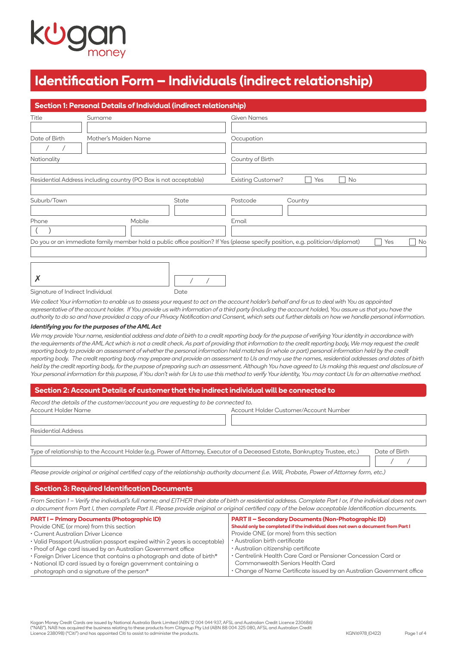# **Identification Form – Individuals (indirect relationship)**

|                                                                  | Section 1: Personal Details of Individual (indirect relationship) |  |                                                                                                                                             |  |  |  |
|------------------------------------------------------------------|-------------------------------------------------------------------|--|---------------------------------------------------------------------------------------------------------------------------------------------|--|--|--|
| Title                                                            | Surname                                                           |  | <b>Given Names</b>                                                                                                                          |  |  |  |
|                                                                  |                                                                   |  |                                                                                                                                             |  |  |  |
| Date of Birth                                                    | Mother's Maiden Name                                              |  | Occupation                                                                                                                                  |  |  |  |
|                                                                  |                                                                   |  |                                                                                                                                             |  |  |  |
| Nationality                                                      |                                                                   |  | Country of Birth                                                                                                                            |  |  |  |
|                                                                  |                                                                   |  |                                                                                                                                             |  |  |  |
| Residential Address including country (PO Box is not acceptable) |                                                                   |  | <b>Existing Customer?</b><br>No<br>Yes                                                                                                      |  |  |  |
|                                                                  |                                                                   |  |                                                                                                                                             |  |  |  |
| Suburb/Town<br>State                                             |                                                                   |  | Postcode<br>Country                                                                                                                         |  |  |  |
|                                                                  |                                                                   |  |                                                                                                                                             |  |  |  |
| Phone                                                            | Mobile                                                            |  | Email                                                                                                                                       |  |  |  |
|                                                                  |                                                                   |  |                                                                                                                                             |  |  |  |
|                                                                  |                                                                   |  | Do you or an immediate family member hold a public office position? If Yes (please specify position, e.g. politician/diplomat)<br>No<br>Yes |  |  |  |
|                                                                  |                                                                   |  |                                                                                                                                             |  |  |  |
|                                                                  |                                                                   |  |                                                                                                                                             |  |  |  |

|--|

| °e |  |
|----|--|

Signature of Indirect Individual

We collect Your information to enable us to assess your request to act on the account holder's behalf and for us to deal with You as appointed representative of the account holder. If You provide us with information of a third party (including the account holder), You assure us that you have the authority to do so and have provided a copy of our Privacy Notification and Consent, which sets out further details on how we handle personal information.

#### **Identifying you for the purposes of the AML Act**

We may provide Your name, residential address and date of birth to a credit reporting body for the purpose of verifying Your identity in accordance with the requirements of the AML Act which is not a credit check. As part of providing that information to the credit reporting body, We may request the credit reporting body to provide an assessment of whether the personal information held matches (in whole or part) personal information held by the credit reporting body. The credit reporting body may prepare and provide an assessment to Us and may use the names, residential addresses and dates of birth held by the credit reporting body, for the purpose of preparing such an assessment. Although You have agreed to Us making this request and disclosure of Your personal information for this purpose, if You don't wish for Us to use this method to verify Your identity, You may contact Us for an alternative method.

# **Section 2: Account Details of customer that the indirect individual will be connected to**

| Record the details of the customer/account you are requesting to be connected to. |                                        |
|-----------------------------------------------------------------------------------|----------------------------------------|
| Account Holder Name                                                               | Account Holder Customer/Account Number |
|                                                                                   |                                        |

| Residential Address                                                                                                          |               |
|------------------------------------------------------------------------------------------------------------------------------|---------------|
|                                                                                                                              |               |
| Type of relationship to the Account Holder (e.g. Power of Attorney, Executor of a Deceased Estate, Bankruptcy Trustee, etc.) | Date of Birth |

Please provide original or original certified copy of the relationship authority document (i.e. Will, Probate, Power of Attorney form, etc.)

# **Section 3: Required Identification Documents**

From Section 1 – Verify the individual's full name; and EITHER their date of birth or residential address. Complete Part I or, if the individual does not own a document from Part I, then complete Part II. Please provide original or original certified copy of the below acceptable Identification documents.

| <b>PART I - Primary Documents (Photographic ID)</b>                         | <b>PART II - Secondary Documents (Non-Photographic ID)</b>                     |
|-----------------------------------------------------------------------------|--------------------------------------------------------------------------------|
| Provide ONE (or more) from this section                                     | Should only be completed if the individual does not own a document from Part I |
| • Current Australian Driver Licence                                         | Provide ONE (or more) from this section                                        |
| • Valid Passport (Australian passport expired within 2 years is acceptable) | · Australian birth certificate                                                 |
| • Proof of Age card issued by an Australian Government office               | · Australian citizenship certificate                                           |
| • Foreign Driver Licence that contains a photograph and date of birth*      | • Centrelink Health Care Card or Pensioner Concession Card or                  |
| • National ID card issued by a foreign government containing a              | Commonwealth Seniors Health Card                                               |
| photograph and a signature of the person*                                   | • Change of Name Certificate issued by an Australian Government office         |

/ /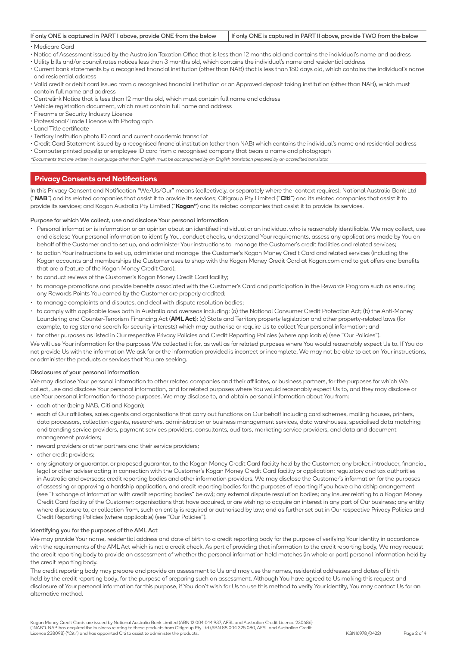| If only ONE is captured in PART I above, provide ONE from the below   If only ONE is captured in PART II above, provide TWO from the below |  |
|--------------------------------------------------------------------------------------------------------------------------------------------|--|
|                                                                                                                                            |  |

# • Medicare Card

- Notice of Assessment issued by the Australian Taxation Office that is less than 12 months old and contains the individual's name and address
- Utility bills and/or council rates notices less than 3 months old, which contains the individual's name and residential address
- Current bank statements by a recognised financial institution (other than NAB) that is less than 180 days old, which contains the individual's name and residential address
- Valid credit or debit card issued from a recognised financial institution or an Approved deposit taking institution (other than NAB), which must contain full name and address
- Centrelink Notice that is less than 12 months old, which must contain full name and address
- Vehicle registration document, which must contain full name and address
- Firearms or Security Industry Licence
- Professional/Trade Licence with Photograph
- Land Title certificate
- Tertiary Institution photo ID card and current academic transcript
- Credit Card Statement issued by a recognised financial institution (other than NAB) which contains the individual's name and residential address • Computer printed payslip or employee ID card from a recognised company that bears a name and photograph
- \*Documents that are written in a language other than English must be accompanied by an English translation prepared by an accredited translator.

# **Privacy Consents and Notifications**

In this Privacy Consent and Notification "We/Us/Our" means (collectively, or separately where the context requires): National Australia Bank Ltd ("**NAB**") and its related companies that assist it to provide its services; Citigroup Pty Limited ("**Citi**") and its related companies that assist it to provide its services; and Kogan Australia Pty Limited ("**Kogan"**) and its related companies that assist it to provide its services.

#### Purpose for which We collect, use and disclose Your personal information

- Personal information is information or an opinion about an identified individual or an individual who is reasonably identifiable. We may collect, use and disclose Your personal information to identify You, conduct checks, understand Your requirements, assess any applications made by You on behalf of the Customer and to set up, and administer Your instructions to manage the Customer's credit facilities and related services;
- to action Your instructions to set up, administer and manage the Customer's Kogan Money Credit Card and related services (including the Kogan accounts and memberships the Customer uses to shop with the Kogan Money Credit Card at [Kogan.com](http://Kogan.com/) and to get offers and benefits that are a feature of the Kogan Money Credit Card);
- to conduct reviews of the Customer's Kogan Money Credit Card facility;
- to manage promotions and provide benefits associated with the Customer's Card and participation in the Rewards Program such as ensuring any Rewards Points You earned by the Customer are properly credited;
- to manage complaints and disputes, and deal with dispute resolution bodies;
- to comply with applicable laws both in Australia and overseas including: (a) the National Consumer Credit Protection Act; (b) the Anti-Money Laundering and Counter-Terrorism Financing Act (**AML Act**); (c) State and Territory property legislation and other property-related laws (for example, to register and search for security interests) which may authorise or require Us to collect Your personal information; and
- for other purposes as listed in Our respective Privacy Policies and Credit Reporting Policies (where applicable) (see "Our Policies").

We will use Your information for the purposes We collected it for, as well as for related purposes where You would reasonably expect Us to. If You do not provide Us with the information We ask for or the information provided is incorrect or incomplete, We may not be able to act on Your instructions, or administer the products or services that You are seeking.

#### Disclosures of your personal information

We may disclose Your personal information to other related companies and their affiliates, or business partners, for the purposes for which We collect, use and disclose Your personal information, and for related purposes where You would reasonably expect Us to, and they may disclose or use Your personal information for those purposes. We may disclose to, and obtain personal information about You from:

- each other (being NAB, Citi and Kogan);
- each of Our affiliates, sales agents and organisations that carry out functions on Our behalf including card schemes, mailing houses, printers, data processors, collection agents, researchers, administration or business management services, data warehouses, specialised data matching and trending service providers, payment services providers, consultants, auditors, marketing service providers, and data and document management providers;
- reward providers or other partners and their service providers;
- other credit providers;
- any signatory or guarantor, or proposed guarantor, to the Kogan Money Credit Card facility held by the Customer; any broker, introducer, financial, legal or other adviser acting in connection with the Customer's Kogan Money Credit Card facility or application; regulatory and tax authorities in Australia and overseas; credit reporting bodies and other information providers. We may disclose the Customer's information for the purposes of assessing or approving a hardship application, and credit reporting bodies for the purposes of reporting if you have a hardship arrangement (see "Exchange of information with credit reporting bodies" below); any external dispute resolution bodies; any insurer relating to a Kogan Money Credit Card facility of the Customer; organisations that have acquired, or are wishing to acquire an interest in any part of Our business; any entity where disclosure to, or collection from, such an entity is required or authorised by law; and as further set out in Our respective Privacy Policies and Credit Reporting Policies (where applicable) (see "Our Policies").

#### Identifying you for the purposes of the AML Act

We may provide Your name, residential address and date of birth to a credit reporting body for the purpose of verifying Your identity in accordance with the requirements of the AML Act which is not a credit check. As part of providing that information to the credit reporting body, We may request the credit reporting body to provide an assessment of whether the personal information held matches (in whole or part) personal information held by the credit reporting body.

The credit reporting body may prepare and provide an assessment to Us and may use the names, residential addresses and dates of birth held by the credit reporting body, for the purpose of preparing such an assessment. Although You have agreed to Us making this request and disclosure of Your personal information for this purpose, if You don't wish for Us to use this method to verify Your identity, You may contact Us for an alternative method.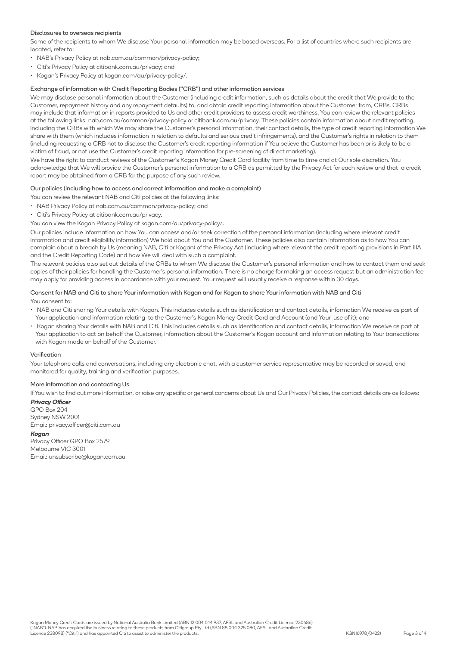### Disclosures to overseas recipients

Some of the recipients to whom We disclose Your personal information may be based overseas. For a list of countries where such recipients are located, refer to:

- NAB's Privacy Policy at [nab.com.au/common/privacy-policy](http://nab.com.au/common/privacy-policy);
- Citi's Privacy Policy at [citibank.com.au/privacy;](http://citibank.com.au/privacy) and
- Kogan's Privacy Policy at [kogan.com/au/privacy-policy/](http://kogan.com/au/privacy-policy/).

## Exchange of information with Credit Reporting Bodies ("CRB") and other information services

We may disclose personal information about the Customer (including credit information, such as details about the credit that We provide to the Customer, repayment history and any repayment defaults) to, and obtain credit reporting information about the Customer from, CRBs. CRBs may include that information in reports provided to Us and other credit providers to assess credit worthiness. You can review the relevant policies at the following links: [nab.com.au/common/privacy-policy](http://nab.com.au/common/privacy-policy) or [citibank.com.au/privacy](http://citibank.com.au/privacy). These policies contain information about credit reporting, including the CRBs with which We may share the Customer's personal information, their contact details, the type of credit reporting information We share with them (which includes information in relation to defaults and serious credit infringements), and the Customer's rights in relation to them (including requesting a CRB not to disclose the Customer's credit reporting information if You believe the Customer has been or is likely to be a victim of fraud, or not use the Customer's credit reporting information for pre-screening of direct marketing).

We have the right to conduct reviews of the Customer's Kogan Money Credit Card facility from time to time and at Our sole discretion. You acknowledge that We will provide the Customer's personal information to a CRB as permitted by the Privacy Act for each review and that a credit report may be obtained from a CRB for the purpose of any such review.

#### Our policies (including how to access and correct information and make a complaint)

- You can review the relevant NAB and Citi policies at the following links:
- NAB Privacy Policy at [nab.com.au/common/privacy-policy;](http://nab.com.au/common/privacy-policy) and
- Citi's Privacy Policy at [citibank.com.au/privacy](http://citibank.com.au/privacy).

You can view the Kogan Privacy Policy at [kogan.com/au/privacy-policy/](http://kogan.com/au/privacy-policy/).

Our policies include information on how You can access and/or seek correction of the personal information (including where relevant credit information and credit eligibility information) We hold about You and the Customer. These policies also contain information as to how You can complain about a breach by Us (meaning NAB, Citi or Kogan) of the Privacy Act (including where relevant the credit reporting provisions in Part IIIA and the Credit Reporting Code) and how We will deal with such a complaint.

The relevant policies also set out details of the CRBs to whom We disclose the Customer's personal information and how to contact them and seek copies of their policies for handling the Customer's personal information. There is no charge for making an access request but an administration fee may apply for providing access in accordance with your request. Your request will usually receive a response within 30 days.

### Consent for NAB and Citi to share Your information with Kogan and for Kogan to share Your information with NAB and Citi You consent to:

- NAB and Citi sharing Your details with Kogan. This includes details such as identification and contact details, information We receive as part of Your application and information relating to the Customer's Kogan Money Credit Card and Account (and Your use of it); and
- Kogan sharing Your details with NAB and Citi. This includes details such as identification and contact details, information We receive as part of Your application to act on behalf the Customer, information about the Customer's Kogan account and information relating to Your transactions with Kogan made on behalf of the Customer.

#### Verification

Your telephone calls and conversations, including any electronic chat, with a customer service representative may be recorded or saved, and monitored for quality, training and verification purposes.

#### More information and contacting Us

If You wish to find out more information, or raise any specific or general concerns about Us and Our Privacy Policies, the contact details are as follows: **Privacy Officer**

GPO Box 204 Sydney NSW 2001 Email: privacy.officer@citi.com.au

#### **Kogan**

Privacy Officer GPO Box 2579 Melbourne VIC 3001 Email: unsubscribe@kogan.com.au